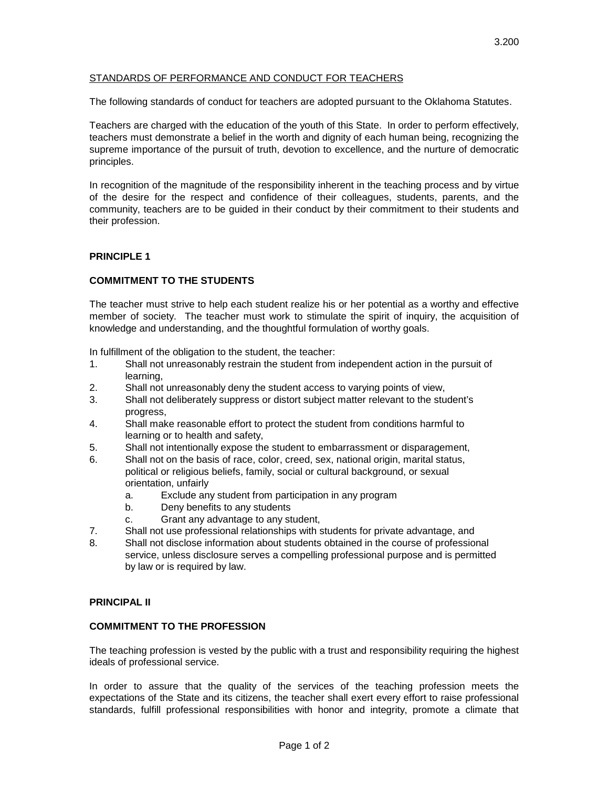# STANDARDS OF PERFORMANCE AND CONDUCT FOR TEACHERS

The following standards of conduct for teachers are adopted pursuant to the Oklahoma Statutes.

Teachers are charged with the education of the youth of this State. In order to perform effectively, teachers must demonstrate a belief in the worth and dignity of each human being, recognizing the supreme importance of the pursuit of truth, devotion to excellence, and the nurture of democratic principles.

In recognition of the magnitude of the responsibility inherent in the teaching process and by virtue of the desire for the respect and confidence of their colleagues, students, parents, and the community, teachers are to be guided in their conduct by their commitment to their students and their profession.

# **PRINCIPLE 1**

# **COMMITMENT TO THE STUDENTS**

The teacher must strive to help each student realize his or her potential as a worthy and effective member of society. The teacher must work to stimulate the spirit of inquiry, the acquisition of knowledge and understanding, and the thoughtful formulation of worthy goals.

In fulfillment of the obligation to the student, the teacher:

- 1. Shall not unreasonably restrain the student from independent action in the pursuit of learning,
- 2. Shall not unreasonably deny the student access to varying points of view,
- 3. Shall not deliberately suppress or distort subject matter relevant to the student's progress,
- 4. Shall make reasonable effort to protect the student from conditions harmful to learning or to health and safety,
- 5. Shall not intentionally expose the student to embarrassment or disparagement,
- 6. Shall not on the basis of race, color, creed, sex, national origin, marital status, political or religious beliefs, family, social or cultural background, or sexual orientation, unfairly
	- a. Exclude any student from participation in any program
	- b. Deny benefits to any students
	- c. Grant any advantage to any student,
- 7. Shall not use professional relationships with students for private advantage, and
- 8. Shall not disclose information about students obtained in the course of professional service, unless disclosure serves a compelling professional purpose and is permitted by law or is required by law.

# **PRINCIPAL II**

#### **COMMITMENT TO THE PROFESSION**

The teaching profession is vested by the public with a trust and responsibility requiring the highest ideals of professional service.

In order to assure that the quality of the services of the teaching profession meets the expectations of the State and its citizens, the teacher shall exert every effort to raise professional standards, fulfill professional responsibilities with honor and integrity, promote a climate that